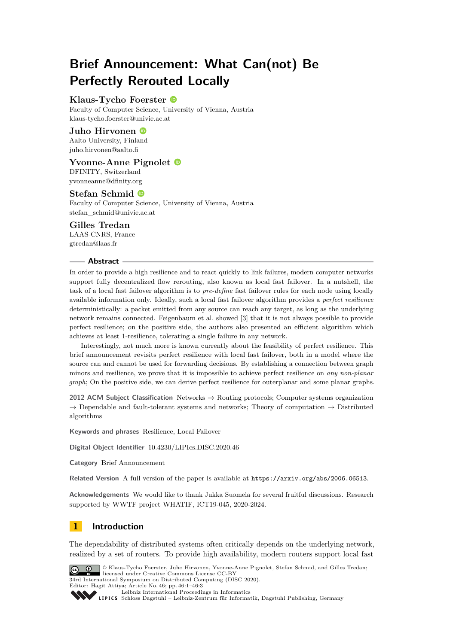# **Brief Announcement: What Can(not) Be Perfectly Rerouted Locally**

### **Klaus-Tycho Foerster**

Faculty of Computer Science, University of Vienna, Austria [klaus-tycho.foerster@univie.ac.at](mailto:klaus-tycho.foerster@univie.ac.at)

### **Juho Hirvonen**

Aalto University, Finland [juho.hirvonen@aalto.fi](mailto:juho.hirvonen@aalto.fi)

### **Yvonne-Anne Pignolet**

DFINITY, Switzerland [yvonneanne@dfinity.org](mailto:yvonneanne@dfinity.org)

### **Stefan Schmid**

Faculty of Computer Science, University of Vienna, Austria [stefan\\_schmid@univie.ac.at](mailto:stefan_schmid@univie.ac.at)

### **Gilles Tredan**

LAAS-CNRS, France [gtredan@laas.fr](mailto:gtredan@laas.fr)

### **Abstract**

In order to provide a high resilience and to react quickly to link failures, modern computer networks support fully decentralized flow rerouting, also known as local fast failover. In a nutshell, the task of a local fast failover algorithm is to *pre-define* fast failover rules for each node using locally available information only. Ideally, such a local fast failover algorithm provides a *perfect resilience* deterministically: a packet emitted from any source can reach any target, as long as the underlying network remains connected. Feigenbaum et al. showed [\[3\]](#page-2-0) that it is not always possible to provide perfect resilience; on the positive side, the authors also presented an efficient algorithm which achieves at least 1-resilience, tolerating a single failure in any network.

Interestingly, not much more is known currently about the feasibility of perfect resilience. This brief announcement revisits perfect resilience with local fast failover, both in a model where the source can and cannot be used for forwarding decisions. By establishing a connection between graph minors and resilience, we prove that it is impossible to achieve perfect resilience on *any non-planar graph*: On the positive side, we can derive perfect resilience for outerplanar and some planar graphs.

**2012 ACM Subject Classification** Networks → Routing protocols; Computer systems organization  $\rightarrow$  Dependable and fault-tolerant systems and networks; Theory of computation  $\rightarrow$  Distributed algorithms

**Keywords and phrases** Resilience, Local Failover

**Digital Object Identifier** [10.4230/LIPIcs.DISC.2020.46](https://doi.org/10.4230/LIPIcs.DISC.2020.46)

**Category** Brief Announcement

**Related Version** A full version of the paper is available at <https://arxiv.org/abs/2006.06513>.

**Acknowledgements** We would like to thank Jukka Suomela for several fruitful discussions. Research supported by WWTF project WHATIF, ICT19-045, 2020-2024.

## **1 Introduction**

The dependability of distributed systems often critically depends on the underlying network, realized by a set of routers. To provide high availability, modern routers support local fast



[Schloss Dagstuhl – Leibniz-Zentrum für Informatik, Dagstuhl Publishing, Germany](https://www.dagstuhl.de)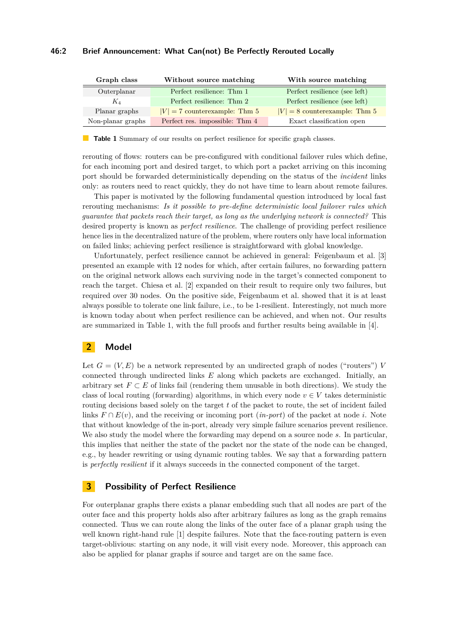#### **46:2 Brief Announcement: What Can(not) Be Perfectly Rerouted Locally**

<span id="page-1-1"></span>

| Graph class       | Without source matching         | With source matching            |
|-------------------|---------------------------------|---------------------------------|
| Outerplanar       | Perfect resilience: Thm 1       | Perfect resilience (see left)   |
| $K_4$             | Perfect resilience: Thm 2       | Perfect resilience (see left)   |
| Planar graphs     | $ V  = 7$ counterexample: Thm 5 | $ V  = 8$ counterexample: Thm 5 |
| Non-planar graphs | Perfect res. impossible: Thm 4  | Exact classification open       |

**Table 1** Summary of our results on perfect resilience for specific graph classes.

rerouting of flows: routers can be pre-configured with conditional failover rules which define, for each incoming port and desired target, to which port a packet arriving on this incoming port should be forwarded deterministically depending on the status of the *incident* links only: as routers need to react quickly, they do not have time to learn about remote failures.

This paper is motivated by the following fundamental question introduced by local fast rerouting mechanisms: *Is it possible to pre-define deterministic local failover rules which guarantee that packets reach their target, as long as the underlying network is connected?* This desired property is known as *perfect resilience*. The challenge of providing perfect resilience hence lies in the decentralized nature of the problem, where routers only have local information on failed links; achieving perfect resilience is straightforward with global knowledge.

Unfortunately, perfect resilience cannot be achieved in general: Feigenbaum et al. [\[3\]](#page-2-0) presented an example with 12 nodes for which, after certain failures, no forwarding pattern on the original network allows each surviving node in the target's connected component to reach the target. Chiesa et al. [\[2\]](#page-2-5) expanded on their result to require only two failures, but required over 30 nodes. On the positive side, Feigenbaum et al. showed that it is at least always possible to tolerate one link failure, i.e., to be 1-resilient. Interestingly, not much more is known today about when perfect resilience can be achieved, and when not. Our results are summarized in Table [1,](#page-1-1) with the full proofs and further results being available in [\[4\]](#page-2-6).

### **2 Model**

Let  $G = (V, E)$  be a network represented by an undirected graph of nodes ("routers") *V* connected through undirected links *E* along which packets are exchanged. Initially, an arbitrary set  $F \subset E$  of links fail (rendering them unusable in both directions). We study the class of local routing (forwarding) algorithms, in which every node  $v \in V$  takes deterministic routing decisions based solely on the target *t* of the packet to route, the set of incident failed links  $F \cap E(v)$ , and the receiving or incoming port (*in-port*) of the packet at node *i*. Note that without knowledge of the in-port, already very simple failure scenarios prevent resilience. We also study the model where the forwarding may depend on a source node *s*. In particular, this implies that neither the state of the packet nor the state of the node can be changed, e.g., by header rewriting or using dynamic routing tables. We say that a forwarding pattern is *perfectly resilient* if it always succeeds in the connected component of the target.

### **3 Possibility of Perfect Resilience**

<span id="page-1-0"></span>For outerplanar graphs there exists a planar embedding such that all nodes are part of the outer face and this property holds also after arbitrary failures as long as the graph remains connected. Thus we can route along the links of the outer face of a planar graph using the well known right-hand rule [\[1\]](#page-2-7) despite failures. Note that the face-routing pattern is even target-oblivious: starting on any node, it will visit every node. Moreover, this approach can also be applied for planar graphs if source and target are on the same face.